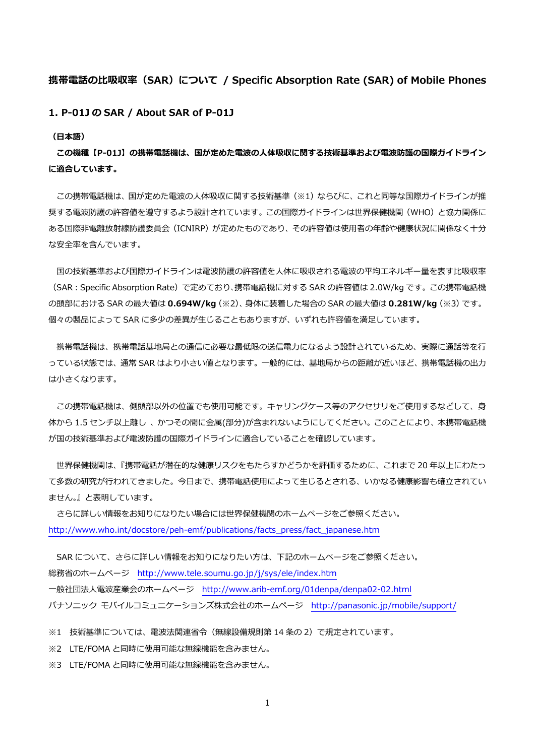## **携帯電話の⽐吸収率(SAR)について / Specific Absorption Rate (SAR) of Mobile Phones**

**1. P-01J の SAR / About SAR of P-01J** 

**(⽇本語)** 

**この機種【P-01J】の携帯電話機は、国が定めた電波の⼈体吸収に関する技術基準および電波防護の国際ガイドライン に適合しています。** 

この携帯電話機は、国が定めた電波の人体吸収に関する技術基準(※1)ならびに、これと同等な国際ガイドラインが推 奨する電波防護の許容値を遵守するよう設計されています。この国際ガイドラインは世界保健機関(WHO)と協力関係に ある国際非電離放射線防護委員会 (ICNIRP) が定めたものであり、その許容値は使用者の年齢や健康状況に関係なく十分 な安全率を含んでいます。

国の技術基準および国際ガイドラインは電波防護の許容値を人体に吸収される電波の平均エネルギー量を表す比吸収率 (SAR:Specific Absorption Rate)で定めており、携帯電話機に対する SAR の許容値は 2.0W/kg です。この携帯電話機 の頭部における SAR の最⼤値は **0.694W/kg**(※2)、⾝体に装着した場合の SAR の最⼤値は **0.281W/kg**(※3)です。 個々の製品によって SAR に多少の差異が⽣じることもありますが、いずれも許容値を満⾜しています。

携帯電話機は、携帯電話基地局との通信に必要な最低限の送信電力になるよう設計されているため、実際に通話等を行 っている状態では、通常 SAR はより小さい値となります。一般的には、基地局からの距離が近いほど、携帯電話機の出力 は⼩さくなります。

この携帯電話機は、側頭部以外の位置でも使用可能です。キャリングケース等のアクセサリをご使用するなどして、身 体から 1.5 センチ以上離し、かつその間に金属(部分)が含まれないようにしてください。このことにより、本携帯電話機 が国の技術基準および電波防護の国際ガイドラインに適合していることを確認しています。

 世界保健機関は、『携帯電話が潜在的な健康リスクをもたらすかどうかを評価するために、これまで 20 年以上にわたっ て多数の研究が行われてきました。今日まで、携帯電話使用によって生じるとされる、いかなる健康影響も確立されてい ません。』と表明しています。

 さらに詳しい情報をお知りになりたい場合には世界保健機関のホームページをご参照ください。 http://www.who.int/docstore/peh-emf/publications/facts\_press/fact\_japanese.htm

SAR について、さらに詳しい情報をお知りになりたい方は、下記のホームページをご参照ください。 総務省のホームページ http://www.tele.soumu.go.jp/j/sys/ele/index.htm ⼀般社団法⼈電波産業会のホームページ http://www.arib-emf.org/01denpa/denpa02-02.html パナソニック モバイルコミュニケーションズ株式会社のホームページ http://panasonic.jp/mobile/support/

※1 技術基準については、電波法関連省令(無線設備規則第 14 条の 2)で規定されています。

※2 LTE/FOMA と同時に使用可能な無線機能を含みません。

※3 LTE/FOMA と同時に使用可能な無線機能を含みません。

1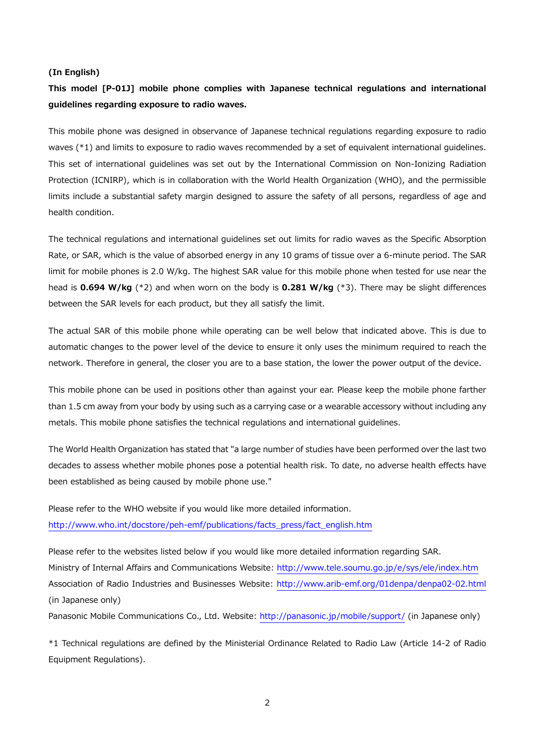#### **(In English)**

# **This model [P-01J] mobile phone complies with Japanese technical regulations and international guidelines regarding exposure to radio waves.**

This mobile phone was designed in observance of Japanese technical regulations regarding exposure to radio waves (\*1) and limits to exposure to radio waves recommended by a set of equivalent international guidelines. This set of international guidelines was set out by the International Commission on Non-Ionizing Radiation Protection (ICNIRP), which is in collaboration with the World Health Organization (WHO), and the permissible limits include a substantial safety margin designed to assure the safety of all persons, regardless of age and health condition.

The technical regulations and international guidelines set out limits for radio waves as the Specific Absorption Rate, or SAR, which is the value of absorbed energy in any 10 grams of tissue over a 6-minute period. The SAR limit for mobile phones is 2.0 W/kg. The highest SAR value for this mobile phone when tested for use near the head is **0.694 W/kg** (\*2) and when worn on the body is **0.281 W/kg** (\*3). There may be slight differences between the SAR levels for each product, but they all satisfy the limit.

The actual SAR of this mobile phone while operating can be well below that indicated above. This is due to automatic changes to the power level of the device to ensure it only uses the minimum required to reach the network. Therefore in general, the closer you are to a base station, the lower the power output of the device.

This mobile phone can be used in positions other than against your ear. Please keep the mobile phone farther than 1.5 cm away from your body by using such as a carrying case or a wearable accessory without including any metals. This mobile phone satisfies the technical regulations and international guidelines.

The World Health Organization has stated that "a large number of studies have been performed over the last two decades to assess whether mobile phones pose a potential health risk. To date, no adverse health effects have been established as being caused by mobile phone use."

Please refer to the WHO website if you would like more detailed information. http://www.who.int/docstore/peh-emf/publications/facts\_press/fact\_english.htm

Please refer to the websites listed below if you would like more detailed information regarding SAR. Ministry of Internal Affairs and Communications Website: http://www.tele.soumu.go.jp/e/sys/ele/index.htm Association of Radio Industries and Businesses Website: http://www.arib-emf.org/01denpa/denpa02-02.html (in Japanese only)

Panasonic Mobile Communications Co., Ltd. Website: http://panasonic.jp/mobile/support/ (in Japanese only)

\*1 Technical regulations are defined by the Ministerial Ordinance Related to Radio Law (Article 14-2 of Radio Equipment Regulations).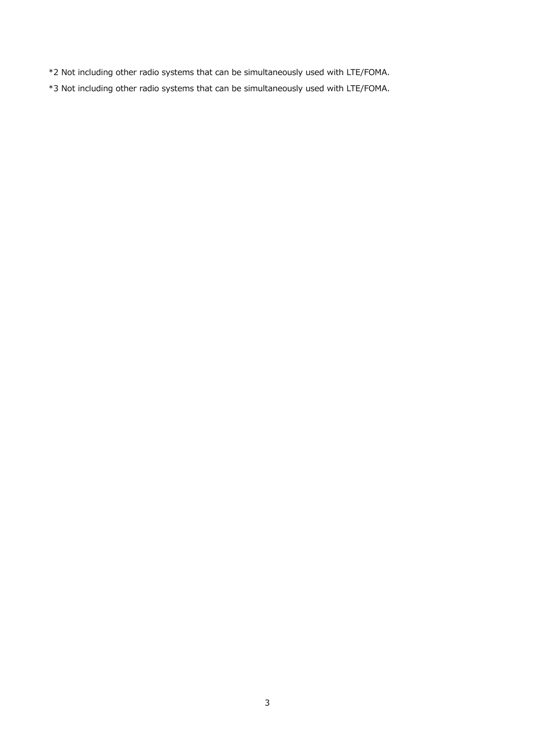- \*2 Not including other radio systems that can be simultaneously used with LTE/FOMA.
- \*3 Not including other radio systems that can be simultaneously used with LTE/FOMA.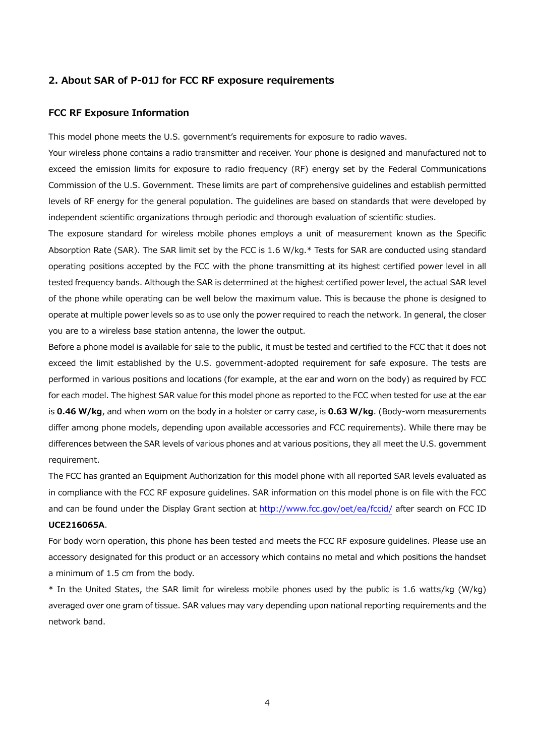#### **2. About SAR of P-01J for FCC RF exposure requirements**

### **FCC RF Exposure Information**

This model phone meets the U.S. government's requirements for exposure to radio waves.

Your wireless phone contains a radio transmitter and receiver. Your phone is designed and manufactured not to exceed the emission limits for exposure to radio frequency (RF) energy set by the Federal Communications Commission of the U.S. Government. These limits are part of comprehensive guidelines and establish permitted levels of RF energy for the general population. The guidelines are based on standards that were developed by independent scientific organizations through periodic and thorough evaluation of scientific studies.

The exposure standard for wireless mobile phones employs a unit of measurement known as the Specific Absorption Rate (SAR). The SAR limit set by the FCC is 1.6 W/kg.\* Tests for SAR are conducted using standard operating positions accepted by the FCC with the phone transmitting at its highest certified power level in all tested frequency bands. Although the SAR is determined at the highest certified power level, the actual SAR level of the phone while operating can be well below the maximum value. This is because the phone is designed to operate at multiple power levels so as to use only the power required to reach the network. In general, the closer you are to a wireless base station antenna, the lower the output.

Before a phone model is available for sale to the public, it must be tested and certified to the FCC that it does not exceed the limit established by the U.S. government-adopted requirement for safe exposure. The tests are performed in various positions and locations (for example, at the ear and worn on the body) as required by FCC for each model. The highest SAR value for this model phone as reported to the FCC when tested for use at the ear is **0.46 W/kg**, and when worn on the body in a holster or carry case, is **0.63 W/kg**. (Body-worn measurements differ among phone models, depending upon available accessories and FCC requirements). While there may be differences between the SAR levels of various phones and at various positions, they all meet the U.S. government requirement.

The FCC has granted an Equipment Authorization for this model phone with all reported SAR levels evaluated as in compliance with the FCC RF exposure guidelines. SAR information on this model phone is on file with the FCC and can be found under the Display Grant section at http://www.fcc.gov/oet/ea/fccid/ after search on FCC ID **UCE216065A**.

For body worn operation, this phone has been tested and meets the FCC RF exposure guidelines. Please use an accessory designated for this product or an accessory which contains no metal and which positions the handset a minimum of 1.5 cm from the body.

\* In the United States, the SAR limit for wireless mobile phones used by the public is 1.6 watts/kg (W/kg) averaged over one gram of tissue. SAR values may vary depending upon national reporting requirements and the network band.